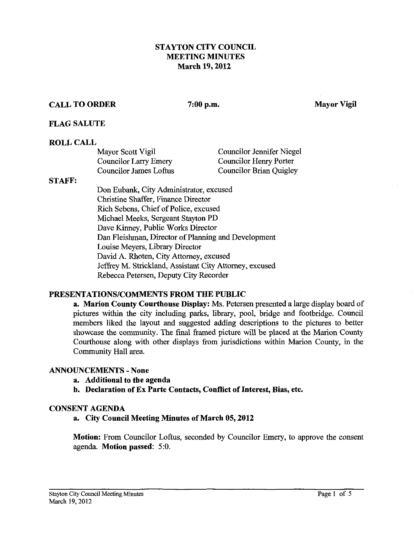### STAYTON CITY COUNCIL MEETING MINUTES March **19,2012**

## CALL TO ORDER 7:00 p.m. Mayor Vigil

### FLAG SALUTE

### ROLL CALL

| Mayor Scott Vigil      | <b>Councilor Jennifer Niegel</b> |
|------------------------|----------------------------------|
| Councilor Larry Emery  | Councilor Henry Porter           |
| Councilor James Loftus | Councilor Brian Quigley          |

#### STAFF:

Don Eubank, City Administrator, excused Christine Shaffer, Finance Director Rich Sebens, Chief of Police, excused Michael Meeks, Sergeant Stayton PD Dave Kinney, Public Works Director Dan Fleishman, Director of Planning and Development Louise Meyers, Library Director David A. Rhoten, City Attorney, excused Jeffrey M. Strickland, Assistant City Attorney, excused Rebecca Petersen, Deputy City Recorder

### PRESENTATIONSICOMMENTS FROM THE PUBLIC

a. Marion County Courthouse Display: Ms. Petersen presented a large display board of pictures within the city including parks, library, pool, bridge and footbridge. Council members liked the layout and suggested adding descriptions to the pictures to better showcase the community. The final fiamed picture will be placed at the Marion County Courthouse along with other displays from jurisdictions within Marion County, in the Community Hall area.

### ANNOUNCEMENTS - None

- a. Additional to the agenda
- b. Declaration of Ex Parte Contacts, Conflict of Interest, Bias, etc.

#### CONSENT AGENDA

a. City Council Meeting Minutes of March **05,2012** 

Motion: From Councilor Loftus, seconded by Councilor Emery, to approve the consent agenda. Motion passed: *5:O.*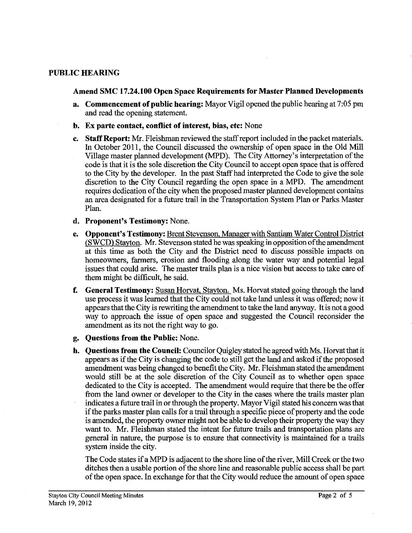### **PUBLIC HEARING**

#### **Amend SMC 17.24.100 Open Space Requirements for Master Planned Developments**

- **a. Commencement of public hearing:** Mayor Vigil opened the public hearing at **7:05** pm and read the opening statement.
- **b. Ex parte contact, conflict of interest, bias, etc:** None
- **c. Staff Report: Mr.** Fleishman reviewed the staff report included in the packet materials. In October 2011, the Council discussed the ownership of open space in the Old Mill Village master planned development (MPD). The City Attorney's interpretation of the code is that it is the sole discretion the City Council to accept open space that is offered to the City by the developer. In the past Staff had interpreted the Code to give the sole discretion to the City Council regarding the open space in a MPD. The amendment requires dedication of the city when the proposed master planned development contains an area designated for a future trail in the Transportation System Plan or Parks Master Plan.
- **d. Proponent's Testimony:** None.
- **e. Opponent's Testimony:** Brent Stevenson. Manager **with** Santiam Water Control District (SWCD) Stavton. Mr. Stevenson stated he was speaking in opposition of the amendment at this time as both the City and the District need to discuss possible impacts on homeowners, farmers, erosion and flooding along the water way and potential legal issues that could arise. The master trails plan is a nice vision but access to take care of them might be difficult, he said.
- **f.** General Testimony: Susan Horvat, Stayton. Ms. Horvat stated going through the land use process it was learned that the City could not take land unless it was offered; now it appears that the City is rewriting the amendment to take the land anyway. It is not agood way to approach the issue of open space and suggested the Council reconsider the amendment as its not the right way to go.
- **g. Questions from the Public:** None.
- **h. Ouestions from the Council:** Councilor Ouigley stated he agreed with Ms. Horvat that it appears as if the City is changing the code to still get the land and asked if the proposed amendment was being changed to benefit the City. Mr. Fleishman stated the amendment would still be at the sole discretion of the City Council as to whether open space dedicated to the City is accepted. The amendment would require that there be the offer from the land owner or developer to the City in the cases where the trails master plan indicates a future trail in or through the property. Mayor Vigil stated his concern was that if the parks master plan calls for a trail through a specific piece of property and the code is amended, the property owner might not be able to develop their property the way they want to. Mr. Fleisbman stated the intent for future trails and transportation plans are general in nature, the purpose is to ensure that connectivity is maintained for a trails system inside the city.

The Code states if a MPD is adjacent to the shore line of the river, Mill Creek or the two ditches then a usable portion of the shore line and reasonable public access shall be part of the open space. In exchange for that the City would reduce the amount of open space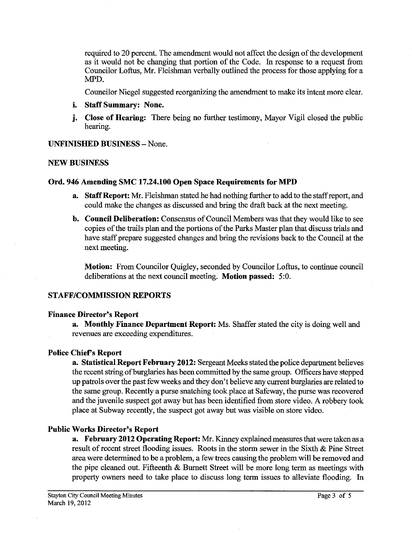required to 20 percent. The amendment would not affect the design of the development as it would not be changing that portion of the Code. In response to a request from Councilor Loftus, Mr. Fleishman verbally outlined the process for those applying for a MPD.

Councilor Niegel suggested reorganizing the amendment to make its intent more clear.

- **i. Staff Summary: None.**
- **j. Close of Hearing:** There being no further testimony, Mayor Vigil closed the public hearing.

### **UNFINISHED BUSINESS** -None.

### **NEW BUSINESS**

### **Ord. 946 Amending SMC 17.24.100 Open Space Requirements for MPD**

- **a. Staff Report: Mr.** Fleishman stated he had nothing further to add to the staffreport, and could make the changes as discussed and bring the draft back at the next meeting.
- **b. Council Deliberation:** Consensus of Council Members was that they would like to see copies of the trails plan and the portions of the Parks Master plan that discuss trials and have staff prepare suggested changes and bring the revisions back to the Council at the next meeting.

**Motion:** From Councilor Quigley, seconded by Councilor Loftus, to continue council deliberations at the next council meeting. **Motion passed: 5:O.** 

### **STAFF/COMMISSION REPORTS**

### **Finance Director's Report**

**a. Monthly Finance Department Report:** Ms. Shaffer stated the city is doing well and revenues are exceeding expenditures.

### **Police Chief's Report**

**a. Statistical Report February 2012:** Sergeant Meeks stated the police department believes the recent string of burglaries has been committed by the same group. Officers have stepped up patrols over the past few weeks and they don't believe any current burglaries are related to the same group. Recently a purse snatching took place at Safeway, the purse was recovered and the juvenile suspect got away but has been identified from store video. A robbery took place at Subway recently, the suspect got away but was visible on store video.

### **Public Works Director's Report**

**a. February 2012 Operating Report: Mr.** Kinney explained measures that were taken as a result of recent street flooding issues. Roots in the storm sewer in the Sixth & Pine Street area were determined to be a problem, a few trees causing the problem will be removed and the pipe cleaned out. Fifteenth & Burnett Street will be more long term as meetings with property owners need to take place to discuss long term issues to alleviate floodmg. In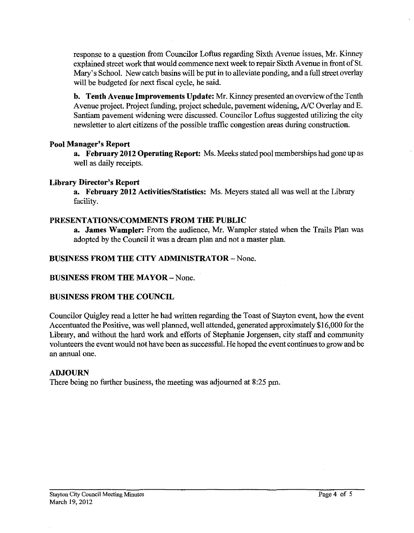response to a question fiom Councilor Loftus regarding Sixth Avenue issues, Mr. Kinney explained street work that would commence next week to repair Sixth Avenue in front of St. Mary's School. New catch basins will be put in to alleviate ponding, and a full street overlay will be budgeted for next fiscal cycle, he said.

**b. Tenth Avenue Improvements Update:** Mr. Kinney presented an overview of the Tenth Avenue project. Project funding, project schedule, pavement widening, A/C Overlay and E. Santiam pavement widening were discussed. Councilor Loftus suggested utilizing the city newsletter to alert citizens of the possible traffic congestion areas during construction.

### **Pool Manager's Report**

**a. February 2012 Operating Report:** Ms. Meeks stated pool memberships had gone up as well as daily receipts.

### **Library Director's Report**

**a. February 2012 Activities/Statistics:** Ms. Meyers stated all was well at the Library facility.

### **PRESENTATIONSICOMMENTS FROM THE PUBLIC**

**a. James Wampler:** From the audience, Mr. Wampler stated when the Trails Plan was adopted by the Council it was a dream plan and not a master plan.

### **BUSINESS FROM THE CITY ADMINISTRATOR** - None.

### **BUSINESS FROM THE MAYOR** - None.

### **BUSINESS FROM THE COUNCIL**

Councilor Quigley read a letter he had written regarding the Toast of Stayton event, how the event Accentuated the Positive, was well planned, well attended, generated approximately \$16,000 for the Library, and without the hard work and efforts of Stephanie Jorgensen, city staff and community volunteers the event would not have been as successful. He hoped the event continues to grow and be an annual one.

### **ADJOURN**

There being no further business, the meeting was adjourned at **8:25** pm.